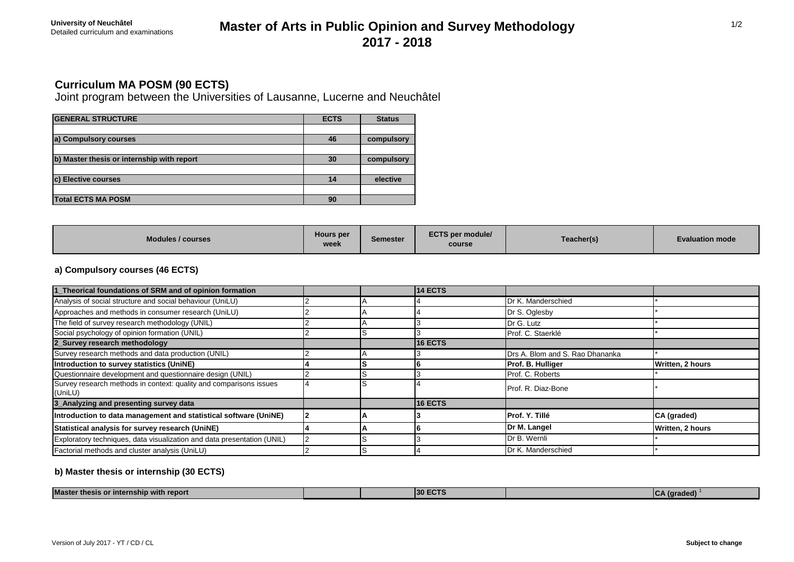# **Master of Arts in Public Opinion and Survey Methodology 2017 - 2018**

## **Curriculum MA POSM (90 ECTS)**

Joint program between the Universities of Lausanne, Lucerne and Neuchâtel

| <b>GENERAL STRUCTURE</b>                   | <b>ECTS</b> | <b>Status</b> |
|--------------------------------------------|-------------|---------------|
|                                            |             |               |
| a) Compulsory courses                      | 46          | compulsory    |
|                                            |             |               |
| b) Master thesis or internship with report | 30          | compulsory    |
|                                            |             |               |
| <b>c) Elective courses</b>                 |             | elective      |
|                                            |             |               |
| <b>Total ECTS MA POSM</b>                  | 90          |               |

| Modules / courses | Hours per<br>week | <b>Semester</b> | <b>ECTS per module/</b><br>course | Teacher(s) | <b>Evaluation mode</b> |
|-------------------|-------------------|-----------------|-----------------------------------|------------|------------------------|
|-------------------|-------------------|-----------------|-----------------------------------|------------|------------------------|

### **a) Compulsory courses (46 ECTS)**

| 1_Theorical foundations of SRM and of opinion formation                       |  | <b>14 ECTS</b> |                                 |                  |
|-------------------------------------------------------------------------------|--|----------------|---------------------------------|------------------|
| Analysis of social structure and social behaviour (UniLU)                     |  |                | Dr K. Manderschied              |                  |
| Approaches and methods in consumer research (UniLU)                           |  |                | Dr S. Oglesby                   |                  |
| The field of survey research methodology (UNIL)                               |  |                | Dr G. Lutz                      |                  |
| Social psychology of opinion formation (UNIL)                                 |  |                | Prof. C. Staerklé               |                  |
| 2_Survey research methodology                                                 |  | <b>16 ECTS</b> |                                 |                  |
| Survey research methods and data production (UNIL)                            |  |                | Drs A. Blom and S. Rao Dhananka |                  |
| Introduction to survey statistics (UniNE)                                     |  |                | Prof. B. Hulliger               | Written, 2 hours |
| Questionnaire development and questionnaire design (UNIL)                     |  |                | Prof. C. Roberts                |                  |
| Survey research methods in context: quality and comparisons issues<br>(UniLU) |  |                | Prof. R. Diaz-Bone              |                  |
| 3_Analyzing and presenting survey data                                        |  | 16 ECTS        |                                 |                  |
| Introduction to data management and statistical software (UniNE)              |  |                | Prof. Y. Tillé                  | CA (graded)      |
| Statistical analysis for survey research (UniNE)                              |  |                | Dr M. Langel                    | Written, 2 hours |
| Exploratory techniques, data visualization and data presentation (UNIL)       |  |                | Dr B. Wernli                    |                  |
| Factorial methods and cluster analysis (UniLU)                                |  |                | Dr K. Manderschied              |                  |

### **b) Master thesis or internship (30 ECTS)**

| <b>Master</b><br>with renort<br>r Internsnip<br>thesis or |  | 430 F<br> |  |  |
|-----------------------------------------------------------|--|-----------|--|--|

1/2